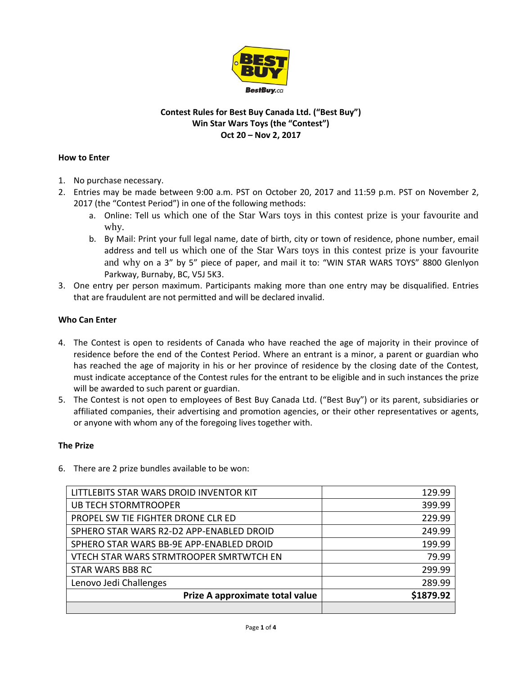

# **Contest Rules for Best Buy Canada Ltd. ("Best Buy") Win Star Wars Toys (the "Contest") Oct 20 – Nov 2, 2017**

## **How to Enter**

- 1. No purchase necessary.
- 2. Entries may be made between 9:00 a.m. PST on October 20, 2017 and 11:59 p.m. PST on November 2, 2017 (the "Contest Period") in one of the following methods:
	- a. Online: Tell us which one of the Star Wars toys in this contest prize is your favourite and why.
	- b. By Mail: Print your full legal name, date of birth, city or town of residence, phone number, email address and tell us which one of the Star Wars toys in this contest prize is your favourite and why on a 3" by 5" piece of paper, and mail it to: "WIN STAR WARS TOYS" 8800 Glenlyon Parkway, Burnaby, BC, V5J 5K3.
- 3. One entry per person maximum. Participants making more than one entry may be disqualified. Entries that are fraudulent are not permitted and will be declared invalid.

# **Who Can Enter**

- 4. The Contest is open to residents of Canada who have reached the age of majority in their province of residence before the end of the Contest Period. Where an entrant is a minor, a parent or guardian who has reached the age of majority in his or her province of residence by the closing date of the Contest, must indicate acceptance of the Contest rules for the entrant to be eligible and in such instances the prize will be awarded to such parent or guardian.
- 5. The Contest is not open to employees of Best Buy Canada Ltd. ("Best Buy") or its parent, subsidiaries or affiliated companies, their advertising and promotion agencies, or their other representatives or agents, or anyone with whom any of the foregoing lives together with.

## **The Prize**

| LITTLEBITS STAR WARS DROID INVENTOR KIT  | 129.99    |
|------------------------------------------|-----------|
| <b>UB TECH STORMTROOPER</b>              | 399.99    |
| PROPEL SW TIE FIGHTER DRONE CLR ED       | 229.99    |
| SPHERO STAR WARS R2-D2 APP-ENABLED DROID | 249.99    |
| SPHERO STAR WARS BB-9E APP-ENABLED DROID | 199.99    |
| VTECH STAR WARS STRMTROOPER SMRTWTCH EN  | 79.99     |
| <b>STAR WARS BB8 RC</b>                  | 299.99    |
| Lenovo Jedi Challenges                   | 289.99    |
| Prize A approximate total value          | \$1879.92 |
|                                          |           |

6. There are 2 prize bundles available to be won: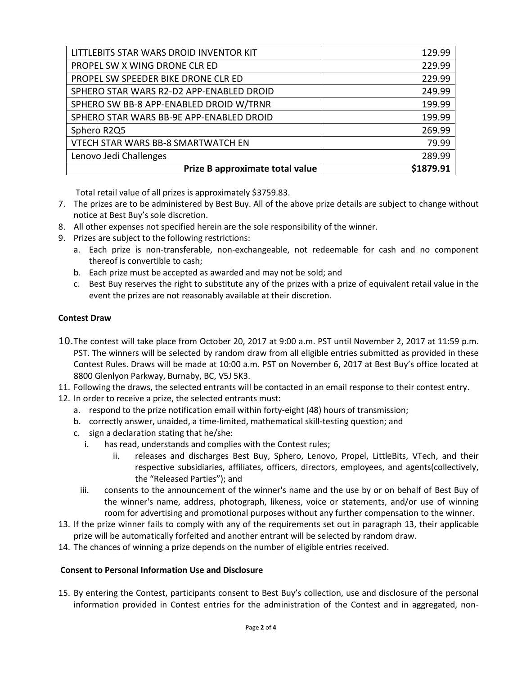| Prize B approximate total value          | \$1879.91 |
|------------------------------------------|-----------|
| Lenovo Jedi Challenges                   | 289.99    |
| VTECH STAR WARS BB-8 SMARTWATCH EN       | 79.99     |
| Sphero R2Q5                              | 269.99    |
| SPHERO STAR WARS BB-9E APP-ENABLED DROID | 199.99    |
| SPHERO SW BB-8 APP-ENABLED DROID W/TRNR  | 199.99    |
| SPHERO STAR WARS R2-D2 APP-ENABLED DROID | 249.99    |
| PROPEL SW SPEEDER BIKE DRONE CLR ED      | 229.99    |
| PROPEL SW X WING DRONE CLR ED            | 229.99    |
| LITTLEBITS STAR WARS DROID INVENTOR KIT  | 129.99    |

Total retail value of all prizes is approximately \$3759.83.

- 7. The prizes are to be administered by Best Buy. All of the above prize details are subject to change without notice at Best Buy's sole discretion.
- 8. All other expenses not specified herein are the sole responsibility of the winner.
- 9. Prizes are subject to the following restrictions:
	- a. Each prize is non-transferable, non-exchangeable, not redeemable for cash and no component thereof is convertible to cash;
	- b. Each prize must be accepted as awarded and may not be sold; and
	- c. Best Buy reserves the right to substitute any of the prizes with a prize of equivalent retail value in the event the prizes are not reasonably available at their discretion.

## **Contest Draw**

- 10.The contest will take place from October 20, 2017 at 9:00 a.m. PST until November 2, 2017 at 11:59 p.m. PST. The winners will be selected by random draw from all eligible entries submitted as provided in these Contest Rules. Draws will be made at 10:00 a.m. PST on November 6, 2017 at Best Buy's office located at 8800 Glenlyon Parkway, Burnaby, BC, V5J 5K3.
- 11. Following the draws, the selected entrants will be contacted in an email response to their contest entry.
- 12. In order to receive a prize, the selected entrants must:
	- a. respond to the prize notification email within forty-eight (48) hours of transmission;
	- b. correctly answer, unaided, a time-limited, mathematical skill-testing question; and
	- c. sign a declaration stating that he/she:
		- i. has read, understands and complies with the Contest rules;
			- ii. releases and discharges Best Buy, Sphero, Lenovo, Propel, LittleBits, VTech, and their respective subsidiaries, affiliates, officers, directors, employees, and agents(collectively, the "Released Parties"); and
		- iii. consents to the announcement of the winner's name and the use by or on behalf of Best Buy of the winner's name, address, photograph, likeness, voice or statements, and/or use of winning room for advertising and promotional purposes without any further compensation to the winner.
- 13. If the prize winner fails to comply with any of the requirements set out in paragraph 13, their applicable prize will be automatically forfeited and another entrant will be selected by random draw.
- 14. The chances of winning a prize depends on the number of eligible entries received.

#### **Consent to Personal Information Use and Disclosure**

15. By entering the Contest, participants consent to Best Buy's collection, use and disclosure of the personal information provided in Contest entries for the administration of the Contest and in aggregated, non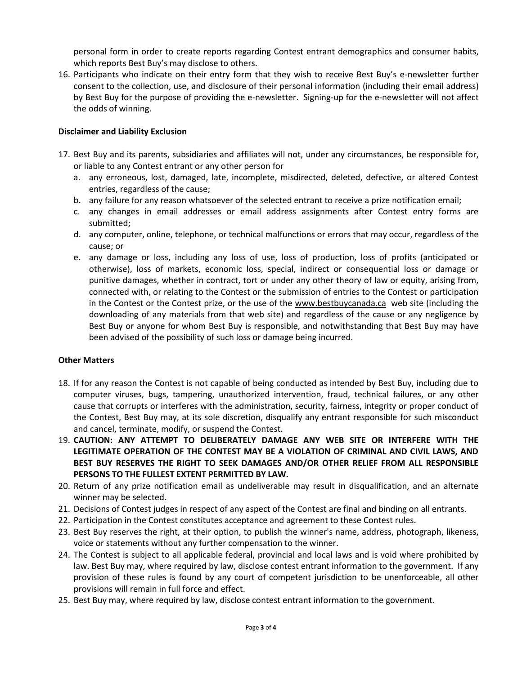personal form in order to create reports regarding Contest entrant demographics and consumer habits, which reports Best Buy's may disclose to others.

16. Participants who indicate on their entry form that they wish to receive Best Buy's e-newsletter further consent to the collection, use, and disclosure of their personal information (including their email address) by Best Buy for the purpose of providing the e-newsletter. Signing-up for the e-newsletter will not affect the odds of winning.

## **Disclaimer and Liability Exclusion**

- 17. Best Buy and its parents, subsidiaries and affiliates will not, under any circumstances, be responsible for, or liable to any Contest entrant or any other person for
	- a. any erroneous, lost, damaged, late, incomplete, misdirected, deleted, defective, or altered Contest entries, regardless of the cause;
	- b. any failure for any reason whatsoever of the selected entrant to receive a prize notification email;
	- c. any changes in email addresses or email address assignments after Contest entry forms are submitted;
	- d. any computer, online, telephone, or technical malfunctions or errors that may occur, regardless of the cause; or
	- e. any damage or loss, including any loss of use, loss of production, loss of profits (anticipated or otherwise), loss of markets, economic loss, special, indirect or consequential loss or damage or punitive damages, whether in contract, tort or under any other theory of law or equity, arising from, connected with, or relating to the Contest or the submission of entries to the Contest or participation in the Contest or the Contest prize, or the use of the [www.bestbuycanada.ca](http://www.bestbuycanada.ca/) web site (including the downloading of any materials from that web site) and regardless of the cause or any negligence by Best Buy or anyone for whom Best Buy is responsible, and notwithstanding that Best Buy may have been advised of the possibility of such loss or damage being incurred.

#### **Other Matters**

- 18. If for any reason the Contest is not capable of being conducted as intended by Best Buy, including due to computer viruses, bugs, tampering, unauthorized intervention, fraud, technical failures, or any other cause that corrupts or interferes with the administration, security, fairness, integrity or proper conduct of the Contest, Best Buy may, at its sole discretion, disqualify any entrant responsible for such misconduct and cancel, terminate, modify, or suspend the Contest.
- 19. **CAUTION: ANY ATTEMPT TO DELIBERATELY DAMAGE ANY WEB SITE OR INTERFERE WITH THE LEGITIMATE OPERATION OF THE CONTEST MAY BE A VIOLATION OF CRIMINAL AND CIVIL LAWS, AND BEST BUY RESERVES THE RIGHT TO SEEK DAMAGES AND/OR OTHER RELIEF FROM ALL RESPONSIBLE PERSONS TO THE FULLEST EXTENT PERMITTED BY LAW.**
- 20. Return of any prize notification email as undeliverable may result in disqualification, and an alternate winner may be selected.
- 21. Decisions of Contest judges in respect of any aspect of the Contest are final and binding on all entrants.
- 22. Participation in the Contest constitutes acceptance and agreement to these Contest rules.
- 23. Best Buy reserves the right, at their option, to publish the winner's name, address, photograph, likeness, voice or statements without any further compensation to the winner.
- 24. The Contest is subject to all applicable federal, provincial and local laws and is void where prohibited by law. Best Buy may, where required by law, disclose contest entrant information to the government. If any provision of these rules is found by any court of competent jurisdiction to be unenforceable, all other provisions will remain in full force and effect.
- 25. Best Buy may, where required by law, disclose contest entrant information to the government.